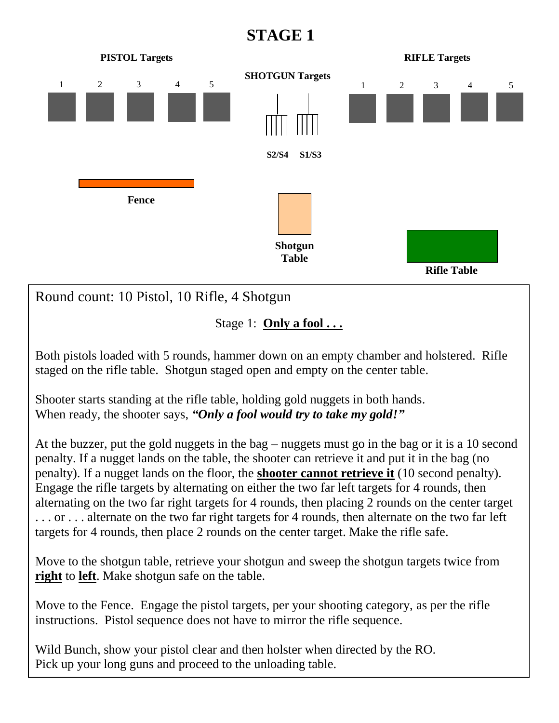## **STAGE 1**



Both pistols loaded with 5 rounds, hammer down on an empty chamber and holstered. Rifle staged on the rifle table. Shotgun staged open and empty on the center table.

Shooter starts standing at the rifle table, holding gold nuggets in both hands. When ready, the shooter says, *"Only a fool would try to take my gold!"*

At the buzzer, put the gold nuggets in the bag – nuggets must go in the bag or it is a 10 second penalty. If a nugget lands on the table, the shooter can retrieve it and put it in the bag (no penalty). If a nugget lands on the floor, the **shooter cannot retrieve it** (10 second penalty). Engage the rifle targets by alternating on either the two far left targets for 4 rounds, then alternating on the two far right targets for 4 rounds, then placing 2 rounds on the center target . . . or . . . alternate on the two far right targets for 4 rounds, then alternate on the two far left targets for 4 rounds, then place 2 rounds on the center target. Make the rifle safe.

Move to the shotgun table, retrieve your shotgun and sweep the shotgun targets twice from **right** to **left**. Make shotgun safe on the table.

Move to the Fence. Engage the pistol targets, per your shooting category, as per the rifle instructions. Pistol sequence does not have to mirror the rifle sequence.

Wild Bunch, show your pistol clear and then holster when directed by the RO. Pick up your long guns and proceed to the unloading table.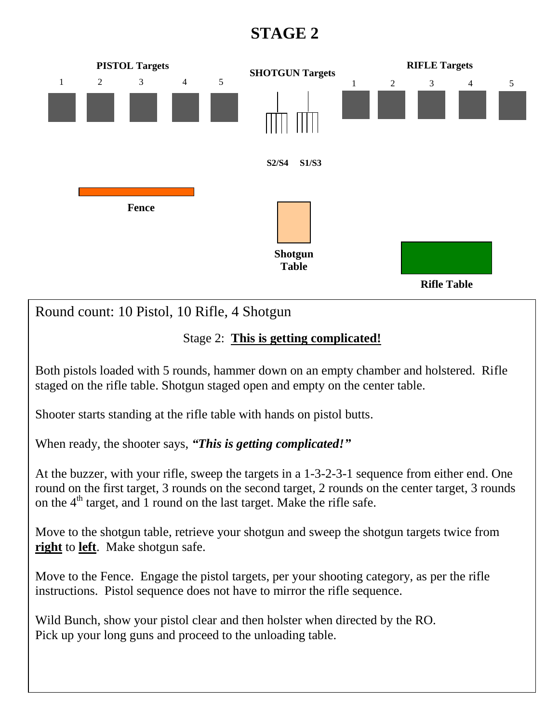## **STAGE 2**



Round count: 10 Pistol, 10 Rifle, 4 Shotgun

## Stage 2: **This is getting complicated!**

Both pistols loaded with 5 rounds, hammer down on an empty chamber and holstered. Rifle staged on the rifle table. Shotgun staged open and empty on the center table.

Shooter starts standing at the rifle table with hands on pistol butts.

When ready, the shooter says, *"This is getting complicated!"*

At the buzzer, with your rifle, sweep the targets in a 1-3-2-3-1 sequence from either end. One round on the first target, 3 rounds on the second target, 2 rounds on the center target, 3 rounds on the  $4<sup>th</sup>$  target, and 1 round on the last target. Make the rifle safe.

Move to the shotgun table, retrieve your shotgun and sweep the shotgun targets twice from **right** to **left**. Make shotgun safe.

Move to the Fence. Engage the pistol targets, per your shooting category, as per the rifle instructions. Pistol sequence does not have to mirror the rifle sequence.

Wild Bunch, show your pistol clear and then holster when directed by the RO. Pick up your long guns and proceed to the unloading table.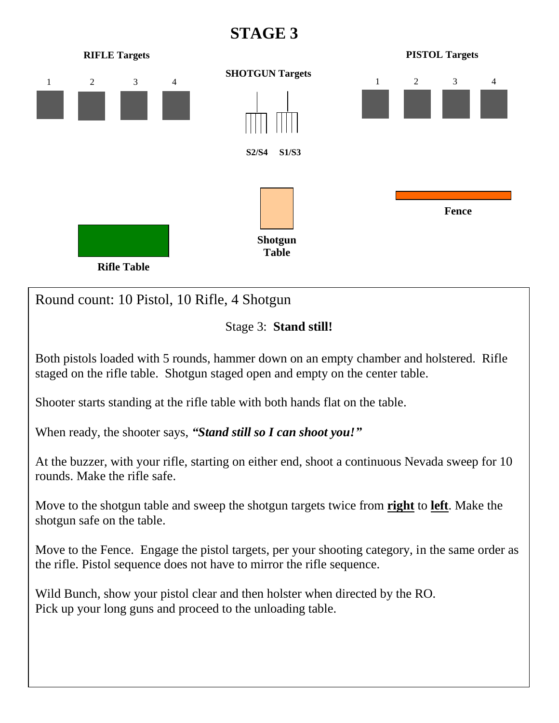